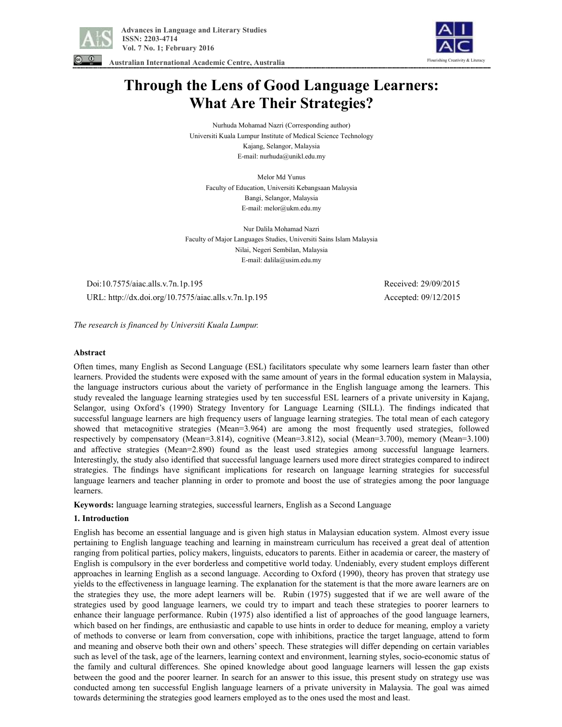

 **Advances in Language and Literary Studies ISSN: 2203-4714 Vol. 7 No. 1; February 2016** 





# **Through the Lens of Good Language Learners: What Are Their Strategies?**

Nurhuda Mohamad Nazri (Corresponding author) Universiti Kuala Lumpur Institute of Medical Science Technology Kajang, Selangor, Malaysia E-mail: nurhuda@unikl.edu.my

Melor Md Yunus Faculty of Education, Universiti Kebangsaan Malaysia Bangi, Selangor, Malaysia E-mail: melor@ukm.edu.my

Nur Dalila Mohamad Nazri Faculty of Major Languages Studies, Universiti Sains Islam Malaysia Nilai, Negeri Sembilan, Malaysia E-mail: dalila@usim.edu.my

 Doi:10.7575/aiac.alls.v.7n.1p.195 Received: 29/09/2015 URL: http://dx.doi.org/10.7575/aiac.alls.v.7n.1p.195 Accepted: 09/12/2015

*The research is financed by Universiti Kuala Lumpur.* 

#### **Abstract**

Often times, many English as Second Language (ESL) facilitators speculate why some learners learn faster than other learners. Provided the students were exposed with the same amount of years in the formal education system in Malaysia, the language instructors curious about the variety of performance in the English language among the learners. This study revealed the language learning strategies used by ten successful ESL learners of a private university in Kajang, Selangor, using Oxford's (1990) Strategy Inventory for Language Learning (SILL). The findings indicated that successful language learners are high frequency users of language learning strategies. The total mean of each category showed that metacognitive strategies (Mean=3.964) are among the most frequently used strategies, followed respectively by compensatory (Mean=3.814), cognitive (Mean=3.812), social (Mean=3.700), memory (Mean=3.100) and affective strategies (Mean=2.890) found as the least used strategies among successful language learners. Interestingly, the study also identified that successful language learners used more direct strategies compared to indirect strategies. The findings have significant implications for research on language learning strategies for successful language learners and teacher planning in order to promote and boost the use of strategies among the poor language learners.

**Keywords:** language learning strategies, successful learners, English as a Second Language

# **1. Introduction**

English has become an essential language and is given high status in Malaysian education system. Almost every issue pertaining to English language teaching and learning in mainstream curriculum has received a great deal of attention ranging from political parties, policy makers, linguists, educators to parents. Either in academia or career, the mastery of English is compulsory in the ever borderless and competitive world today. Undeniably, every student employs different approaches in learning English as a second language. According to Oxford (1990), theory has proven that strategy use yields to the effectiveness in language learning. The explanation for the statement is that the more aware learners are on the strategies they use, the more adept learners will be. Rubin (1975) suggested that if we are well aware of the strategies used by good language learners, we could try to impart and teach these strategies to poorer learners to enhance their language performance. Rubin (1975) also identified a list of approaches of the good language learners, which based on her findings, are enthusiastic and capable to use hints in order to deduce for meaning, employ a variety of methods to converse or learn from conversation, cope with inhibitions, practice the target language, attend to form and meaning and observe both their own and others' speech. These strategies will differ depending on certain variables such as level of the task, age of the learners, learning context and environment, learning styles, socio-economic status of the family and cultural differences. She opined knowledge about good language learners will lessen the gap exists between the good and the poorer learner. In search for an answer to this issue, this present study on strategy use was conducted among ten successful English language learners of a private university in Malaysia. The goal was aimed towards determining the strategies good learners employed as to the ones used the most and least.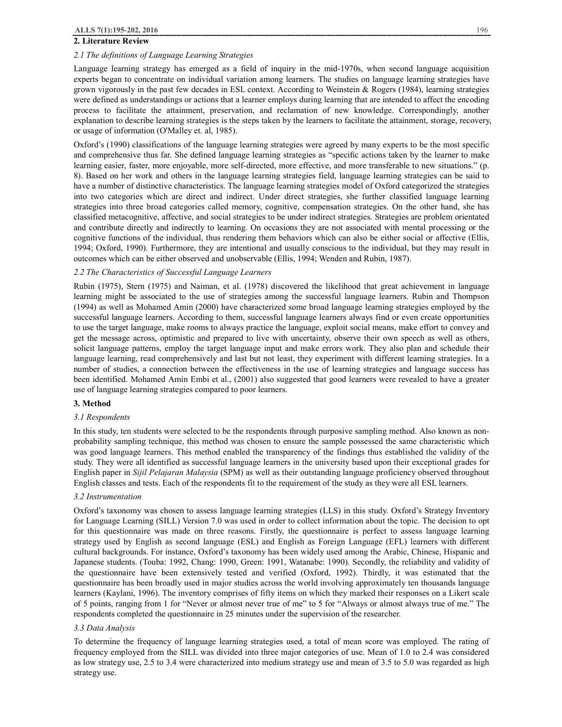# **2. Literature Review**

#### *2.1 The definitions of Language Learning Strategies*

Language learning strategy has emerged as a field of inquiry in the mid-1970s, when second language acquisition experts began to concentrate on individual variation among learners. The studies on language learning strategies have grown vigorously in the past few decades in ESL context. According to Weinstein & Rogers (1984), learning strategies were defined as understandings or actions that a learner employs during learning that are intended to affect the encoding process to facilitate the attainment, preservation, and reclamation of new knowledge. Correspondingly, another explanation to describe learning strategies is the steps taken by the learners to facilitate the attainment, storage, recovery, or usage of information (O'Malley et. al, 1985).

Oxford's (1990) classifications of the language learning strategies were agreed by many experts to be the most specific and comprehensive thus far. She defined language learning strategies as "specific actions taken by the learner to make learning easier, faster, more enjoyable, more self-directed, more effective, and more transferable to new situations." (p. 8). Based on her work and others in the language learning strategies field, language learning strategies can be said to have a number of distinctive characteristics. The language learning strategies model of Oxford categorized the strategies into two categories which are direct and indirect. Under direct strategies, she further classified language learning strategies into three broad categories called memory, cognitive, compensation strategies. On the other hand, she has classified metacognitive, affective, and social strategies to be under indirect strategies. Strategies are problem orientated and contribute directly and indirectly to learning. On occasions they are not associated with mental processing or the cognitive functions of the individual, thus rendering them behaviors which can also be either social or affective (Ellis, 1994; Oxford, 1990). Furthermore, they are intentional and usually conscious to the individual, but they may result in outcomes which can be either observed and unobservable (Ellis, 1994; Wenden and Rubin, 1987).

#### *2.2 The Characteristics of Successful Language Learners*

Rubin (1975), Stern (1975) and Naiman, et al. (1978) discovered the likelihood that great achievement in language learning might be associated to the use of strategies among the successful language learners. Rubin and Thompson (1994) as well as Mohamed Amin (2000) have characterized some broad language learning strategies employed by the successful language learners. According to them, successful language learners always find or even create opportunities to use the target language, make rooms to always practice the language, exploit social means, make effort to convey and get the message across, optimistic and prepared to live with uncertainty, observe their own speech as well as others, solicit language patterns, employ the target language input and make errors work. They also plan and schedule their language learning, read comprehensively and last but not least, they experiment with different learning strategies. In a number of studies, a connection between the effectiveness in the use of learning strategies and language success has been identified. Mohamed Amin Embi et al., (2001) also suggested that good learners were revealed to have a greater use of language learning strategies compared to poor learners.

#### **3. Method**

#### *3.1 Respondents*

In this study, ten students were selected to be the respondents through purposive sampling method. Also known as nonprobability sampling technique, this method was chosen to ensure the sample possessed the same characteristic which was good language learners. This method enabled the transparency of the findings thus established the validity of the study. They were all identified as successful language learners in the university based upon their exceptional grades for English paper in *Sijil Pelajaran Malaysia* (SPM) as well as their outstanding language proficiency observed throughout English classes and tests. Each of the respondents fit to the requirement of the study as they were all ESL learners.

#### *3.2 Instrumentation*

Oxford's taxonomy was chosen to assess language learning strategies (LLS) in this study. Oxford's Strategy Inventory for Language Learning (SILL) Version 7.0 was used in order to collect information about the topic. The decision to opt for this questionnaire was made on three reasons. Firstly, the questionnaire is perfect to assess language learning strategy used by English as second language (ESL) and English as Foreign Language (EFL) learners with different cultural backgrounds. For instance, Oxford's taxonomy has been widely used among the Arabic, Chinese, Hispanic and Japanese students. (Touba: 1992, Chang: 1990, Green: 1991, Watanabe: 1990). Secondly, the reliability and validity of the questionnaire have been extensively tested and verified (Oxford, 1992). Thirdly, it was estimated that the questionnaire has been broadly used in major studies across the world involving approximately ten thousands language learners (Kaylani, 1996). The inventory comprises of fifty items on which they marked their responses on a Likert scale of 5 points, ranging from 1 for "Never or almost never true of me" to 5 for "Always or almost always true of me." The respondents completed the questionnaire in 25 minutes under the supervision of the researcher.

# *3.3 Data Analysis*

To determine the frequency of language learning strategies used, a total of mean score was employed. The rating of frequency employed from the SILL was divided into three major categories of use. Mean of 1.0 to 2.4 was considered as low strategy use, 2.5 to 3.4 were characterized into medium strategy use and mean of 3.5 to 5.0 was regarded as high strategy use.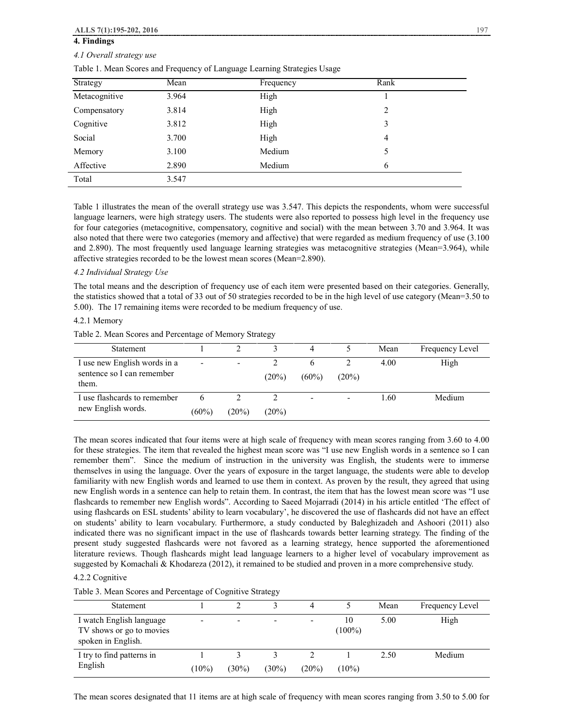# **4. Findings**

# *4.1 Overall strategy use*

Table 1. Mean Scores and Frequency of Language Learning Strategies Usage

| Strategy      | Mean  | Frequency | Rank |  |
|---------------|-------|-----------|------|--|
| Metacognitive | 3.964 | High      |      |  |
| Compensatory  | 3.814 | High      | 2    |  |
| Cognitive     | 3.812 | High      | 3    |  |
| Social        | 3.700 | High      | 4    |  |
| Memory        | 3.100 | Medium    | 5    |  |
| Affective     | 2.890 | Medium    | 6    |  |
| Total         | 3.547 |           |      |  |

Table 1 illustrates the mean of the overall strategy use was 3.547. This depicts the respondents, whom were successful language learners, were high strategy users. The students were also reported to possess high level in the frequency use for four categories (metacognitive, compensatory, cognitive and social) with the mean between 3.70 and 3.964. It was also noted that there were two categories (memory and affective) that were regarded as medium frequency of use (3.100 and 2.890). The most frequently used language learning strategies was metacognitive strategies (Mean=3.964), while affective strategies recorded to be the lowest mean scores (Mean=2.890).

#### *4.2 Individual Strategy Use*

The total means and the description of frequency use of each item were presented based on their categories. Generally, the statistics showed that a total of 33 out of 50 strategies recorded to be in the high level of use category (Mean=3.50 to 5.00). The 17 remaining items were recorded to be medium frequency of use.

# 4.2.1 Memory

Table 2. Mean Scores and Percentage of Memory Strategy

| Statement                                                           |            |                          |          |                          |                          | Mean | Frequency Level |
|---------------------------------------------------------------------|------------|--------------------------|----------|--------------------------|--------------------------|------|-----------------|
| I use new English words in a<br>sentence so I can remember<br>them. | -          | $\overline{\phantom{0}}$ | $(20\%)$ | $(60\%)$                 | $(20\%)$                 | 4.00 | High            |
| I use flashcards to remember<br>new English words.                  | 6<br>(60%) | (20%)                    | $(20\%)$ | $\overline{\phantom{0}}$ | $\overline{\phantom{a}}$ | 1.60 | Medium          |

The mean scores indicated that four items were at high scale of frequency with mean scores ranging from 3.60 to 4.00 for these strategies. The item that revealed the highest mean score was "I use new English words in a sentence so I can remember them". Since the medium of instruction in the university was English, the students were to immerse themselves in using the language. Over the years of exposure in the target language, the students were able to develop familiarity with new English words and learned to use them in context. As proven by the result, they agreed that using new English words in a sentence can help to retain them. In contrast, the item that has the lowest mean score was "I use flashcards to remember new English words". According to Saeed Mojarradi (2014) in his article entitled 'The effect of using flashcards on ESL students' ability to learn vocabulary', he discovered the use of flashcards did not have an effect on students' ability to learn vocabulary. Furthermore, a study conducted by Baleghizadeh and Ashoori (2011) also indicated there was no significant impact in the use of flashcards towards better learning strategy. The finding of the present study suggested flashcards were not favored as a learning strategy, hence supported the aforementioned literature reviews. Though flashcards might lead language learners to a higher level of vocabulary improvement as suggested by Komachali & Khodareza (2012), it remained to be studied and proven in a more comprehensive study.

# 4.2.2 Cognitive

Table 3. Mean Scores and Percentage of Cognitive Strategy

| Statement                                                                  |          |                          |                          |                          |                 | Mean | Frequency Level |
|----------------------------------------------------------------------------|----------|--------------------------|--------------------------|--------------------------|-----------------|------|-----------------|
| I watch English language<br>TV shows or go to movies<br>spoken in English. | -        | $\overline{\phantom{0}}$ | $\overline{\phantom{0}}$ | $\overline{\phantom{0}}$ | 10<br>$(100\%)$ | 5.00 | High            |
| I try to find patterns in<br>English                                       | $(10\%)$ | $(30\%)$                 | $(30\%)$                 | $(20\%)$                 | $(10\%)$        | 2.50 | Medium          |

The mean scores designated that 11 items are at high scale of frequency with mean scores ranging from 3.50 to 5.00 for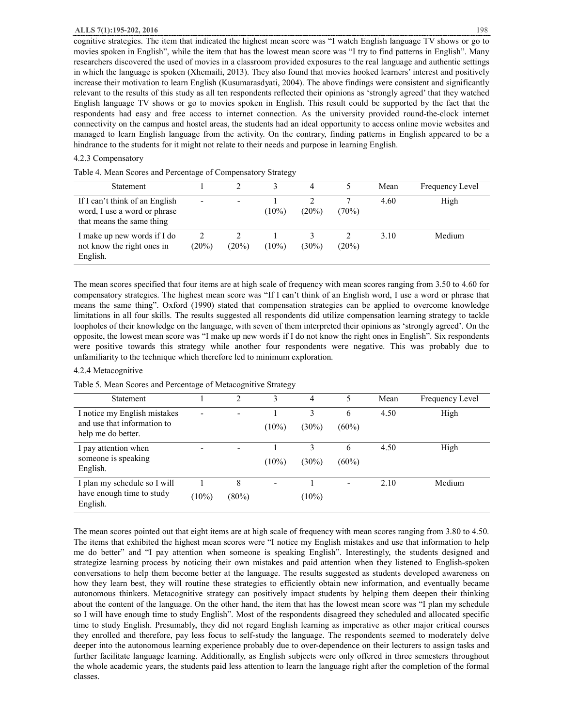cognitive strategies. The item that indicated the highest mean score was "I watch English language TV shows or go to movies spoken in English", while the item that has the lowest mean score was "I try to find patterns in English". Many researchers discovered the used of movies in a classroom provided exposures to the real language and authentic settings in which the language is spoken (Xhemaili, 2013). They also found that movies hooked learners' interest and positively increase their motivation to learn English (Kusumarasdyati, 2004). The above findings were consistent and significantly relevant to the results of this study as all ten respondents reflected their opinions as 'strongly agreed' that they watched English language TV shows or go to movies spoken in English. This result could be supported by the fact that the respondents had easy and free access to internet connection. As the university provided round-the-clock internet connectivity on the campus and hostel areas, the students had an ideal opportunity to access online movie websites and managed to learn English language from the activity. On the contrary, finding patterns in English appeared to be a hindrance to the students for it might not relate to their needs and purpose in learning English.

# 4.2.3 Compensatory

Table 4. Mean Scores and Percentage of Compensatory Strategy

| Statement                                                                                   |          |          |          |          |          | Mean | Frequency Level |
|---------------------------------------------------------------------------------------------|----------|----------|----------|----------|----------|------|-----------------|
| If I can't think of an English<br>word, I use a word or phrase<br>that means the same thing |          |          | $(10\%)$ | $(20\%)$ | $(70\%)$ | 4.60 | High            |
| I make up new words if I do<br>not know the right ones in<br>English.                       | $(20\%)$ | $(20\%)$ | $(10\%)$ | $(30\%)$ | $(20\%)$ | 3.10 | Medium          |

The mean scores specified that four items are at high scale of frequency with mean scores ranging from 3.50 to 4.60 for compensatory strategies. The highest mean score was "If I can't think of an English word, I use a word or phrase that means the same thing". Oxford (1990) stated that compensation strategies can be applied to overcome knowledge limitations in all four skills. The results suggested all respondents did utilize compensation learning strategy to tackle loopholes of their knowledge on the language, with seven of them interpreted their opinions as 'strongly agreed'. On the opposite, the lowest mean score was "I make up new words if I do not know the right ones in English". Six respondents were positive towards this strategy while another four respondents were negative. This was probably due to unfamiliarity to the technique which therefore led to minimum exploration.

#### 4.2.4 Metacognitive

Table 5. Mean Scores and Percentage of Metacognitive Strategy

| Statement                                                                         |                          | 2             | 3        | 4             | 5             | Mean | Frequency Level |
|-----------------------------------------------------------------------------------|--------------------------|---------------|----------|---------------|---------------|------|-----------------|
| I notice my English mistakes<br>and use that information to<br>help me do better. | $\overline{\phantom{a}}$ | ۰             | $(10\%)$ | 3<br>$(30\%)$ | 6<br>$(60\%)$ | 4.50 | High            |
| I pay attention when<br>someone is speaking<br>English.                           |                          |               | $(10\%)$ | $(30\%)$      | 6<br>$(60\%)$ | 4.50 | High            |
| I plan my schedule so I will<br>have enough time to study<br>English.             | $(10\%)$                 | 8<br>$(80\%)$ |          | $(10\%)$      |               | 2.10 | Medium          |

The mean scores pointed out that eight items are at high scale of frequency with mean scores ranging from 3.80 to 4.50. The items that exhibited the highest mean scores were "I notice my English mistakes and use that information to help me do better" and "I pay attention when someone is speaking English". Interestingly, the students designed and strategize learning process by noticing their own mistakes and paid attention when they listened to English-spoken conversations to help them become better at the language. The results suggested as students developed awareness on how they learn best, they will routine these strategies to efficiently obtain new information, and eventually became autonomous thinkers. Metacognitive strategy can positively impact students by helping them deepen their thinking about the content of the language. On the other hand, the item that has the lowest mean score was "I plan my schedule so I will have enough time to study English". Most of the respondents disagreed they scheduled and allocated specific time to study English. Presumably, they did not regard English learning as imperative as other major critical courses they enrolled and therefore, pay less focus to self-study the language. The respondents seemed to moderately delve deeper into the autonomous learning experience probably due to over-dependence on their lecturers to assign tasks and further facilitate language learning. Additionally, as English subjects were only offered in three semesters throughout the whole academic years, the students paid less attention to learn the language right after the completion of the formal classes.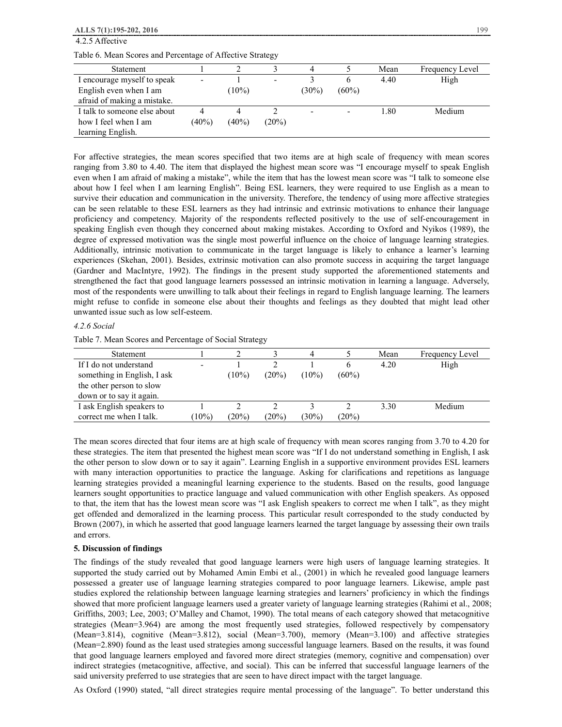| ALLS 7(1):195-202, 2016                                   |          |          |       |          |          |      | 199             |
|-----------------------------------------------------------|----------|----------|-------|----------|----------|------|-----------------|
| 4.2.5 Affective                                           |          |          |       |          |          |      |                 |
| Table 6. Mean Scores and Percentage of Affective Strategy |          |          |       |          |          |      |                 |
| Statement                                                 |          |          |       |          |          | Mean | Frequency Level |
| I encourage myself to speak                               |          |          |       |          | 6        | 4.40 | High            |
| English even when I am                                    |          | $10\%)$  |       | $(30\%)$ | $(60\%)$ |      |                 |
| afraid of making a mistake.                               |          |          |       |          |          |      |                 |
| I talk to someone else about                              |          | 4        |       |          |          | 1.80 | Medium          |
| how I feel when I am                                      | $(40\%)$ | $(40\%)$ | (20%) |          |          |      |                 |
| learning English.                                         |          |          |       |          |          |      |                 |

For affective strategies, the mean scores specified that two items are at high scale of frequency with mean scores ranging from 3.80 to 4.40. The item that displayed the highest mean score was "I encourage myself to speak English even when I am afraid of making a mistake", while the item that has the lowest mean score was "I talk to someone else about how I feel when I am learning English". Being ESL learners, they were required to use English as a mean to survive their education and communication in the university. Therefore, the tendency of using more affective strategies can be seen relatable to these ESL learners as they had intrinsic and extrinsic motivations to enhance their language proficiency and competency. Majority of the respondents reflected positively to the use of self-encouragement in speaking English even though they concerned about making mistakes. According to Oxford and Nyikos (1989), the degree of expressed motivation was the single most powerful influence on the choice of language learning strategies. Additionally, intrinsic motivation to communicate in the target language is likely to enhance a learner's learning experiences (Skehan, 2001). Besides, extrinsic motivation can also promote success in acquiring the target language (Gardner and MacIntyre, 1992). The findings in the present study supported the aforementioned statements and strengthened the fact that good language learners possessed an intrinsic motivation in learning a language. Adversely, most of the respondents were unwilling to talk about their feelings in regard to English language learning. The learners might refuse to confide in someone else about their thoughts and feelings as they doubted that might lead other unwanted issue such as low self-esteem.

# *4.2.6 Social*

Table 7. Mean Scores and Percentage of Social Strategy

| <b>Statement</b>            |         |         |          |          |          | Mean | Frequency Level |
|-----------------------------|---------|---------|----------|----------|----------|------|-----------------|
| If I do not understand      |         |         |          |          | O        | 4.20 | High            |
| something in English, I ask |         | $10\%)$ | $(20\%)$ | $(10\%)$ | $(60\%)$ |      |                 |
| the other person to slow    |         |         |          |          |          |      |                 |
| down or to say it again.    |         |         |          |          |          |      |                 |
| I ask English speakers to   |         |         |          |          |          | 3.30 | Medium          |
| correct me when I talk.     | $10\%)$ | (20%)   | (20%)    | $(30\%)$ | (20%)    |      |                 |

The mean scores directed that four items are at high scale of frequency with mean scores ranging from 3.70 to 4.20 for these strategies. The item that presented the highest mean score was "If I do not understand something in English, I ask the other person to slow down or to say it again". Learning English in a supportive environment provides ESL learners with many interaction opportunities to practice the language. Asking for clarifications and repetitions as language learning strategies provided a meaningful learning experience to the students. Based on the results, good language learners sought opportunities to practice language and valued communication with other English speakers. As opposed to that, the item that has the lowest mean score was "I ask English speakers to correct me when I talk", as they might get offended and demoralized in the learning process. This particular result corresponded to the study conducted by Brown (2007), in which he asserted that good language learners learned the target language by assessing their own trails and errors.

# **5. Discussion of findings**

The findings of the study revealed that good language learners were high users of language learning strategies. It supported the study carried out by Mohamed Amin Embi et al., (2001) in which he revealed good language learners possessed a greater use of language learning strategies compared to poor language learners. Likewise, ample past studies explored the relationship between language learning strategies and learners' proficiency in which the findings showed that more proficient language learners used a greater variety of language learning strategies (Rahimi et al., 2008; Griffiths, 2003; Lee, 2003; O'Malley and Chamot, 1990). The total means of each category showed that metacognitive strategies (Mean=3.964) are among the most frequently used strategies, followed respectively by compensatory (Mean=3.814), cognitive (Mean=3.812), social (Mean=3.700), memory (Mean=3.100) and affective strategies (Mean=2.890) found as the least used strategies among successful language learners. Based on the results, it was found that good language learners employed and favored more direct strategies (memory, cognitive and compensation) over indirect strategies (metacognitive, affective, and social). This can be inferred that successful language learners of the said university preferred to use strategies that are seen to have direct impact with the target language.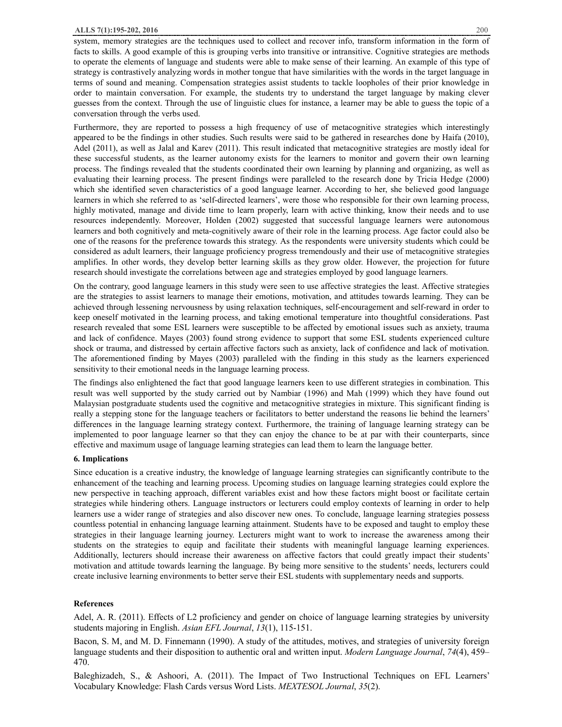#### **ALLS 7(1):195-202, 2016** 200

system, memory strategies are the techniques used to collect and recover info, transform information in the form of facts to skills. A good example of this is grouping verbs into transitive or intransitive. Cognitive strategies are methods to operate the elements of language and students were able to make sense of their learning. An example of this type of strategy is contrastively analyzing words in mother tongue that have similarities with the words in the target language in terms of sound and meaning. Compensation strategies assist students to tackle loopholes of their prior knowledge in order to maintain conversation. For example, the students try to understand the target language by making clever guesses from the context. Through the use of linguistic clues for instance, a learner may be able to guess the topic of a conversation through the verbs used.

Furthermore, they are reported to possess a high frequency of use of metacognitive strategies which interestingly appeared to be the findings in other studies. Such results were said to be gathered in researches done by Haifa (2010), Adel (2011), as well as Jalal and Karev (2011). This result indicated that metacognitive strategies are mostly ideal for these successful students, as the learner autonomy exists for the learners to monitor and govern their own learning process. The findings revealed that the students coordinated their own learning by planning and organizing, as well as evaluating their learning process. The present findings were paralleled to the research done by Tricia Hedge (2000) which she identified seven characteristics of a good language learner. According to her, she believed good language learners in which she referred to as 'self-directed learners', were those who responsible for their own learning process, highly motivated, manage and divide time to learn properly, learn with active thinking, know their needs and to use resources independently. Moreover, Holden (2002) suggested that successful language learners were autonomous learners and both cognitively and meta-cognitively aware of their role in the learning process. Age factor could also be one of the reasons for the preference towards this strategy. As the respondents were university students which could be considered as adult learners, their language proficiency progress tremendously and their use of metacognitive strategies amplifies. In other words, they develop better learning skills as they grow older. However, the projection for future research should investigate the correlations between age and strategies employed by good language learners.

On the contrary, good language learners in this study were seen to use affective strategies the least. Affective strategies are the strategies to assist learners to manage their emotions, motivation, and attitudes towards learning. They can be achieved through lessening nervousness by using relaxation techniques, self-encouragement and self-reward in order to keep oneself motivated in the learning process, and taking emotional temperature into thoughtful considerations. Past research revealed that some ESL learners were susceptible to be affected by emotional issues such as anxiety, trauma and lack of confidence. Mayes (2003) found strong evidence to support that some ESL students experienced culture shock or trauma, and distressed by certain affective factors such as anxiety, lack of confidence and lack of motivation. The aforementioned finding by Mayes (2003) paralleled with the finding in this study as the learners experienced sensitivity to their emotional needs in the language learning process.

The findings also enlightened the fact that good language learners keen to use different strategies in combination. This result was well supported by the study carried out by Nambiar (1996) and Mah (1999) which they have found out Malaysian postgraduate students used the cognitive and metacognitive strategies in mixture. This significant finding is really a stepping stone for the language teachers or facilitators to better understand the reasons lie behind the learners' differences in the language learning strategy context. Furthermore, the training of language learning strategy can be implemented to poor language learner so that they can enjoy the chance to be at par with their counterparts, since effective and maximum usage of language learning strategies can lead them to learn the language better.

# **6. Implications**

Since education is a creative industry, the knowledge of language learning strategies can significantly contribute to the enhancement of the teaching and learning process. Upcoming studies on language learning strategies could explore the new perspective in teaching approach, different variables exist and how these factors might boost or facilitate certain strategies while hindering others. Language instructors or lecturers could employ contexts of learning in order to help learners use a wider range of strategies and also discover new ones. To conclude, language learning strategies possess countless potential in enhancing language learning attainment. Students have to be exposed and taught to employ these strategies in their language learning journey. Lecturers might want to work to increase the awareness among their students on the strategies to equip and facilitate their students with meaningful language learning experiences. Additionally, lecturers should increase their awareness on affective factors that could greatly impact their students' motivation and attitude towards learning the language. By being more sensitive to the students' needs, lecturers could create inclusive learning environments to better serve their ESL students with supplementary needs and supports.

# **References**

Adel, A. R. (2011). Effects of L2 proficiency and gender on choice of language learning strategies by university students majoring in English. *Asian EFL Journal*, *13*(1), 115-151.

Bacon, S. M, and M. D. Finnemann (1990). A study of the attitudes, motives, and strategies of university foreign language students and their disposition to authentic oral and written input. *Modern Language Journal*, *74*(4), 459– 470.

Baleghizadeh, S., & Ashoori, A. (2011). The Impact of Two Instructional Techniques on EFL Learners' Vocabulary Knowledge: Flash Cards versus Word Lists. *MEXTESOL Journal*, *35*(2).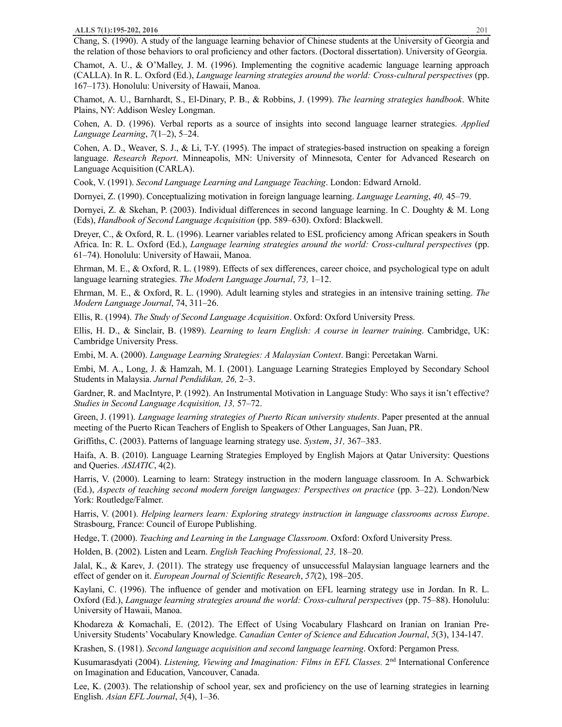Chang, S. (1990). A study of the language learning behavior of Chinese students at the University of Georgia and the relation of those behaviors to oral proficiency and other factors. (Doctoral dissertation). University of Georgia.

Chamot, A. U., & O'Malley, J. M. (1996). Implementing the cognitive academic language learning approach (CALLA). In R. L. Oxford (Ed.), *Language learning strategies around the world: Cross-cultural perspectives* (pp. 167–173). Honolulu: University of Hawaii, Manoa.

Chamot, A. U., Barnhardt, S., El-Dinary, P. B., & Robbins, J. (1999). *The learning strategies handbook*. White Plains, NY: Addison Wesley Longman.

Cohen, A. D. (1996). Verbal reports as a source of insights into second language learner strategies. *Applied Language Learning*, *7*(1–2), 5–24.

Cohen, A. D., Weaver, S. J., & Li, T-Y. (1995). The impact of strategies-based instruction on speaking a foreign language. *Research Report*. Minneapolis, MN: University of Minnesota, Center for Advanced Research on Language Acquisition (CARLA).

Cook, V. (1991). *Second Language Learning and Language Teaching*. London: Edward Arnold.

Dornyei, Z. (1990). Conceptualizing motivation in foreign language learning. *Language Learning*, *40,* 45–79.

Dornyei, Z. & Skehan, P. (2003). Individual differences in second language learning. In C. Doughty & M. Long (Eds), *Handbook of Second Language Acquisition* (pp. 589–630). Oxford: Blackwell.

Dreyer, C., & Oxford, R. L. (1996). Learner variables related to ESL proficiency among African speakers in South Africa. In: R. L. Oxford (Ed.), *Language learning strategies around the world: Cross-cultural perspectives* (pp. 61–74). Honolulu: University of Hawaii, Manoa.

Ehrman, M. E., & Oxford, R. L. (1989). Effects of sex differences, career choice, and psychological type on adult language learning strategies. *The Modern Language Journal*, *73,* 1–12.

Ehrman, M. E., & Oxford, R. L. (1990). Adult learning styles and strategies in an intensive training setting. *The Modern Language Journal*, 74, 311–26.

Ellis, R. (1994). *The Study of Second Language Acquisition*. Oxford: Oxford University Press.

Ellis, H. D., & Sinclair, B. (1989). *Learning to learn English: A course in learner training*. Cambridge, UK: Cambridge University Press.

Embi, M. A. (2000). *Language Learning Strategies: A Malaysian Context*. Bangi: Percetakan Warni.

Embi, M. A., Long, J. & Hamzah, M. I. (2001). Language Learning Strategies Employed by Secondary School Students in Malaysia. *Jurnal Pendidikan, 26,* 2–3.

Gardner, R. and MacIntyre, P. (1992). An Instrumental Motivation in Language Study: Who says it isn't effective? *Studies in Second Language Acquisition, 13,* 57–72.

Green, J. (1991). *Language learning strategies of Puerto Rican university students*. Paper presented at the annual meeting of the Puerto Rican Teachers of English to Speakers of Other Languages, San Juan, PR.

Griffiths, C. (2003). Patterns of language learning strategy use. *System*, *31,* 367–383.

Haifa, A. B. (2010). Language Learning Strategies Employed by English Majors at Qatar University: Questions and Queries. *ASIATIC*, 4(2).

Harris, V. (2000). Learning to learn: Strategy instruction in the modern language classroom. In A. Schwarbick (Ed.), *Aspects of teaching second modern foreign languages: Perspectives on practice* (pp. 3–22). London/New York: Routledge/Falmer.

Harris, V. (2001). *Helping learners learn: Exploring strategy instruction in language classrooms across Europe*. Strasbourg, France: Council of Europe Publishing.

Hedge, T. (2000). *Teaching and Learning in the Language Classroom*. Oxford: Oxford University Press.

Holden, B. (2002). Listen and Learn. *English Teaching Professional, 23,* 18–20.

Jalal, K., & Karev, J. (2011). The strategy use frequency of unsuccessful Malaysian language learners and the effect of gender on it. *European Journal of Scientific Research*, *57*(2), 198–205.

Kaylani, C. (1996). The influence of gender and motivation on EFL learning strategy use in Jordan. In R. L. Oxford (Ed.), *Language learning strategies around the world: Cross-cultural perspectives* (pp. 75–88). Honolulu: University of Hawaii, Manoa.

Khodareza & Komachali, E. (2012). The Effect of Using Vocabulary Flashcard on Iranian on Iranian Pre-University Students' Vocabulary Knowledge. *Canadian Center of Science and Education Journal*, *5*(3), 134-147.

Krashen, S. (1981). *Second language acquisition and second language learning*. Oxford: Pergamon Press.

Kusumarasdyati (2004). *Listening, Viewing and Imagination: Films in EFL Classes.* 2nd International Conference on Imagination and Education, Vancouver, Canada.

Lee, K. (2003). The relationship of school year, sex and proficiency on the use of learning strategies in learning English. *Asian EFL Journal*, *5*(4), 1–36.